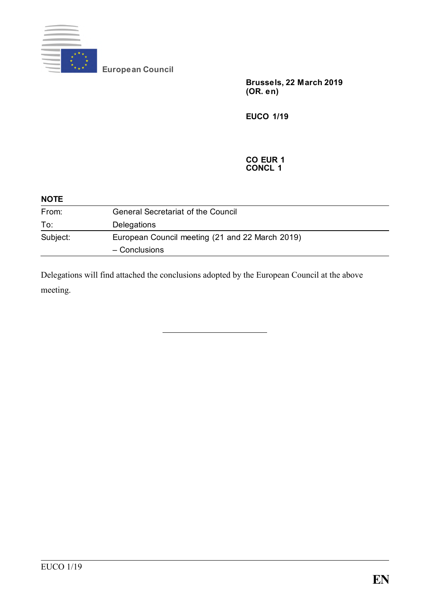

**European Council**

**Brussels, 22 March 2019 (OR. e n)**

**EUCO 1/19**

#### **CO EUR 1 CONCL 1**

| <b>NOTE</b> |                                                 |  |
|-------------|-------------------------------------------------|--|
| From:       | <b>General Secretariat of the Council</b>       |  |
| To:         | Delegations                                     |  |
| Subject:    | European Council meeting (21 and 22 March 2019) |  |
|             | - Conclusions                                   |  |

Delegations will find attached the conclusions adopted by the European Council at the above meeting.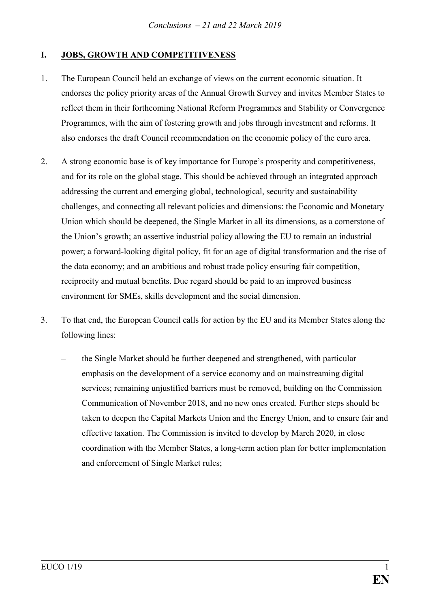## **I. JOBS, GROWTH AND COMPETITIVENESS**

- 1. The European Council held an exchange of views on the current economic situation. It endorses the policy priority areas of the Annual Growth Survey and invites Member States to reflect them in their forthcoming National Reform Programmes and Stability or Convergence Programmes, with the aim of fostering growth and jobs through investment and reforms. It also endorses the draft Council recommendation on the economic policy of the euro area.
- 2. A strong economic base is of key importance for Europe's prosperity and competitiveness, and for its role on the global stage. This should be achieved through an integrated approach addressing the current and emerging global, technological, security and sustainability challenges, and connecting all relevant policies and dimensions: the Economic and Monetary Union which should be deepened, the Single Market in all its dimensions, as a cornerstone of the Union's growth; an assertive industrial policy allowing the EU to remain an industrial power; a forward-looking digital policy, fit for an age of digital transformation and the rise of the data economy; and an ambitious and robust trade policy ensuring fair competition, reciprocity and mutual benefits. Due regard should be paid to an improved business environment for SMEs, skills development and the social dimension.
- 3. To that end, the European Council calls for action by the EU and its Member States along the following lines:
	- the Single Market should be further deepened and strengthened, with particular emphasis on the development of a service economy and on mainstreaming digital services; remaining unjustified barriers must be removed, building on the Commission Communication of November 2018, and no new ones created. Further steps should be taken to deepen the Capital Markets Union and the Energy Union, and to ensure fair and effective taxation. The Commission is invited to develop by March 2020, in close coordination with the Member States, a long-term action plan for better implementation and enforcement of Single Market rules;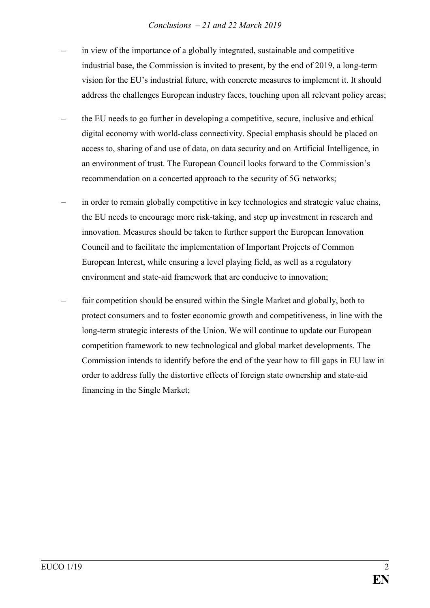### *Conclusions – 21 and 22 March 2019*

- in view of the importance of a globally integrated, sustainable and competitive industrial base, the Commission is invited to present, by the end of 2019, a long-term vision for the EU's industrial future, with concrete measures to implement it. It should address the challenges European industry faces, touching upon all relevant policy areas;
- the EU needs to go further in developing a competitive, secure, inclusive and ethical digital economy with world-class connectivity. Special emphasis should be placed on access to, sharing of and use of data, on data security and on Artificial Intelligence, in an environment of trust. The European Council looks forward to the Commission's recommendation on a concerted approach to the security of 5G networks;
- in order to remain globally competitive in key technologies and strategic value chains, the EU needs to encourage more risk-taking, and step up investment in research and innovation. Measures should be taken to further support the European Innovation Council and to facilitate the implementation of Important Projects of Common European Interest, while ensuring a level playing field, as well as a regulatory environment and state-aid framework that are conducive to innovation;
- fair competition should be ensured within the Single Market and globally, both to protect consumers and to foster economic growth and competitiveness, in line with the long-term strategic interests of the Union. We will continue to update our European competition framework to new technological and global market developments. The Commission intends to identify before the end of the year how to fill gaps in EU law in order to address fully the distortive effects of foreign state ownership and state-aid financing in the Single Market;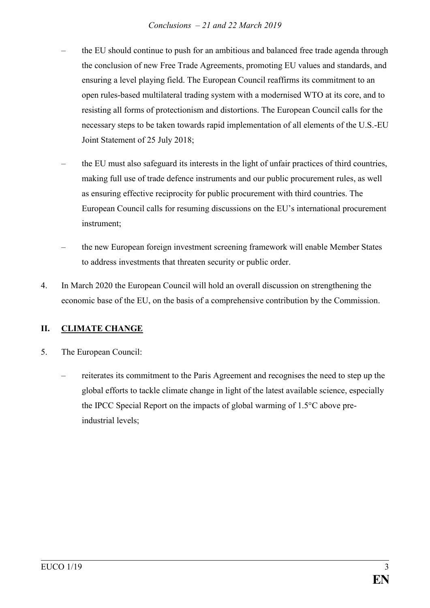### *Conclusions – 21 and 22 March 2019*

- the EU should continue to push for an ambitious and balanced free trade agenda through the conclusion of new Free Trade Agreements, promoting EU values and standards, and ensuring a level playing field. The European Council reaffirms its commitment to an open rules-based multilateral trading system with a modernised WTO at its core, and to resisting all forms of protectionism and distortions. The European Council calls for the necessary steps to be taken towards rapid implementation of all elements of the U.S.-EU Joint Statement of 25 July 2018;
- the EU must also safeguard its interests in the light of unfair practices of third countries, making full use of trade defence instruments and our public procurement rules, as well as ensuring effective reciprocity for public procurement with third countries. The European Council calls for resuming discussions on the EU's international procurement instrument;
- the new European foreign investment screening framework will enable Member States to address investments that threaten security or public order.
- 4. In March 2020 the European Council will hold an overall discussion on strengthening the economic base of the EU, on the basis of a comprehensive contribution by the Commission.

## **II. CLIMATE CHANGE**

- 5. The European Council:
	- reiterates its commitment to the Paris Agreement and recognises the need to step up the global efforts to tackle climate change in light of the latest available science, especially the IPCC Special Report on the impacts of global warming of 1.5°C above preindustrial levels;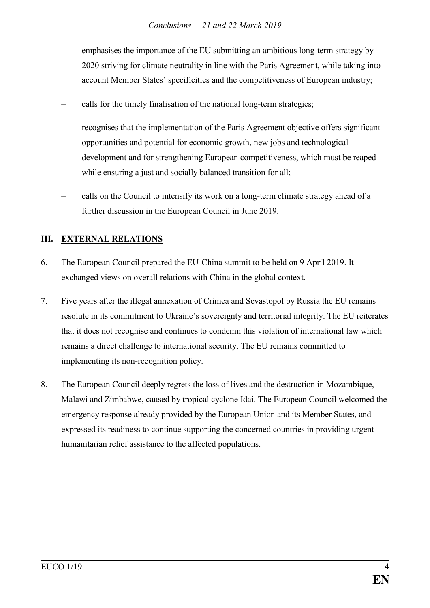- emphasises the importance of the EU submitting an ambitious long-term strategy by 2020 striving for climate neutrality in line with the Paris Agreement, while taking into account Member States' specificities and the competitiveness of European industry;
- calls for the timely finalisation of the national long-term strategies;
- recognises that the implementation of the Paris Agreement objective offers significant opportunities and potential for economic growth, new jobs and technological development and for strengthening European competitiveness, which must be reaped while ensuring a just and socially balanced transition for all;
- calls on the Council to intensify its work on a long-term climate strategy ahead of a further discussion in the European Council in June 2019.

# **III. EXTERNAL RELATIONS**

- 6. The European Council prepared the EU-China summit to be held on 9 April 2019. It exchanged views on overall relations with China in the global context.
- 7. Five years after the illegal annexation of Crimea and Sevastopol by Russia the EU remains resolute in its commitment to Ukraine's sovereignty and territorial integrity. The EU reiterates that it does not recognise and continues to condemn this violation of international law which remains a direct challenge to international security. The EU remains committed to implementing its non-recognition policy.
- 8. The European Council deeply regrets the loss of lives and the destruction in Mozambique, Malawi and Zimbabwe, caused by tropical cyclone Idai. The European Council welcomed the emergency response already provided by the European Union and its Member States, and expressed its readiness to continue supporting the concerned countries in providing urgent humanitarian relief assistance to the affected populations.